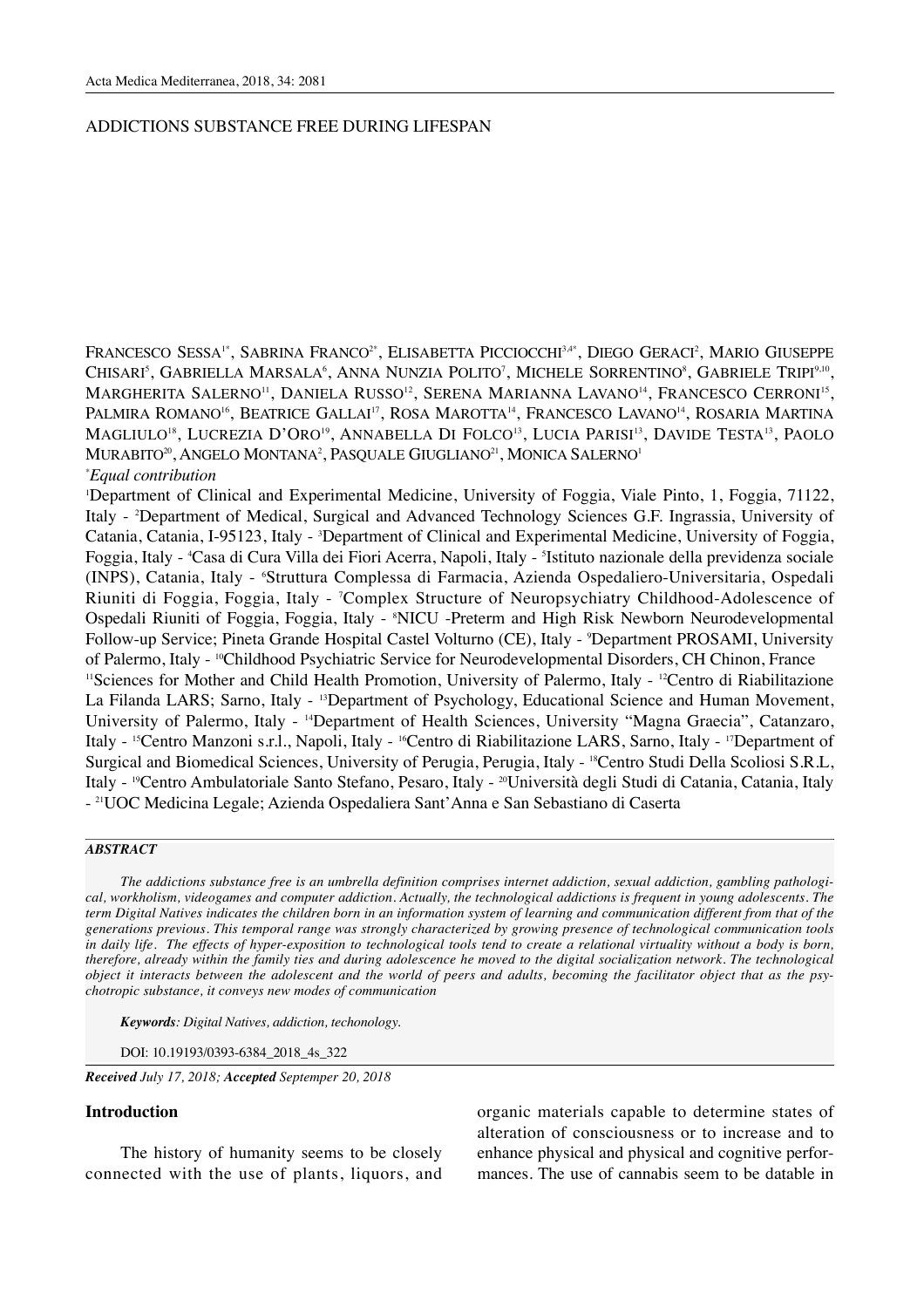# ADDICTIONS SUBSTANCE FREE DURING LIFESPAN

FRANCESCO SESSA<sup>1\*</sup>, SABRINA FRANCO<sup>2\*</sup>, ELISABETTA PICCIOCCHI<sup>3,4\*</sup>, DIEGO GERACI<sup>2</sup>, MARIO GIUSEPPE CHISARI<sup>s</sup>, GABRIELLA MARSALA<sup>6</sup>, ANNA NUNZIA POLITO<sup>7</sup>, MICHELE SORRENTINO<sup>8</sup>, GABRIELE TRIPI<sup>9,10</sup>, MARGHERITA SALERNO<sup>11</sup>, DANIELA RUSSO<sup>12</sup>, SERENA MARIANNA LAVANO<sup>14</sup>, FRANCESCO CERRONI<sup>15</sup>, PALMIRA ROMANO<sup>16</sup>, BEATRICE GALLAI<sup>17</sup>, ROSA MAROTTA<sup>14</sup>, FRANCESCO LAVANO<sup>14</sup>, ROSARIA MARTINA MAGLIULO<sup>18</sup>, LUCREZIA D'ORO<sup>19</sup>, ANNABELLA DI FOLCO<sup>13</sup>, LUCIA PARISI<sup>13</sup>, DAVIDE TESTA<sup>13</sup>, PAOLO MURABITO<sup>20</sup>, ANGELO MONTANA<sup>2</sup>, PASQUALE GIUGLIANO<sup>21</sup>, MONICA SALERNO<sup>1</sup>

# *\* Equal contribution*

1 Department of Clinical and Experimental Medicine, University of Foggia, Viale Pinto, 1, Foggia, 71122, Italy - 2 Department of Medical, Surgical and Advanced Technology Sciences G.F. Ingrassia, University of Catania, Catania, I-95123, Italy - <sup>3</sup>Department of Clinical and Experimental Medicine, University of Foggia, Foggia, Italy - 'Casa di Cura Villa dei Fiori Acerra, Napoli, Italy - <sup>s</sup>Istituto nazionale della previdenza sociale (INPS), Catania, Italy - 6 Struttura Complessa di Farmacia, Azienda Ospedaliero-Universitaria, Ospedali Riuniti di Foggia, Foggia, Italy - 7 Complex Structure of Neuropsychiatry Childhood-Adolescence of Ospedali Riuniti of Foggia, Foggia, Italy - <sup>8</sup>NICU -Preterm and High Risk Newborn Neurodevelopmental Follow-up Service; Pineta Grande Hospital Castel Volturno (CE), Italy - 9 Department PROSAMI, University of Palermo, Italy - <sup>10</sup>Childhood Psychiatric Service for Neurodevelopmental Disorders, CH Chinon, France <sup>11</sup>Sciences for Mother and Child Health Promotion, University of Palermo, Italy - <sup>12</sup>Centro di Riabilitazione La Filanda LARS; Sarno, Italy - <sup>13</sup>Department of Psychology, Educational Science and Human Movement, University of Palermo, Italy - 14Department of Health Sciences, University "Magna Graecia", Catanzaro, Italy - 15Centro Manzoni s.r.l., Napoli, Italy - 16Centro di Riabilitazione LARS, Sarno, Italy - 17Department of Surgical and Biomedical Sciences, University of Perugia, Perugia, Italy - 18Centro Studi Della Scoliosi S.R.L, Italy - 19Centro Ambulatoriale Santo Stefano, Pesaro, Italy - 20Università degli Studi di Catania, Catania, Italy - 21UOC Medicina Legale; Azienda Ospedaliera Sant'Anna e San Sebastiano di Caserta

## *ABSTRACT*

*The addictions substance free is an umbrella definition comprises internet addiction, sexual addiction, gambling pathological, workholism, videogames and computer addiction. Actually, the technological addictions is frequent in young adolescents. The term Digital Natives indicates the children born in an information system of learning and communication different from that of the generations previous. This temporal range was strongly characterized by growing presence of technological communication tools in daily life. The effects of hyper-exposition to technological tools tend to create a relational virtuality without a body is born, therefore, already within the family ties and during adolescence he moved to the digital socialization network. The technological object it interacts between the adolescent and the world of peers and adults, becoming the facilitator object that as the psychotropic substance, it conveys new modes of communication*

*Keywords: Digital Natives, addiction, techonology.*

DOI: 10.19193/0393-6384\_2018\_4s\_322

*Received July 17, 2018; Accepted Septemper 20, 2018*

### **Introduction**

The history of humanity seems to be closely connected with the use of plants, liquors, and organic materials capable to determine states of alteration of consciousness or to increase and to enhance physical and physical and cognitive performances. The use of cannabis seem to be datable in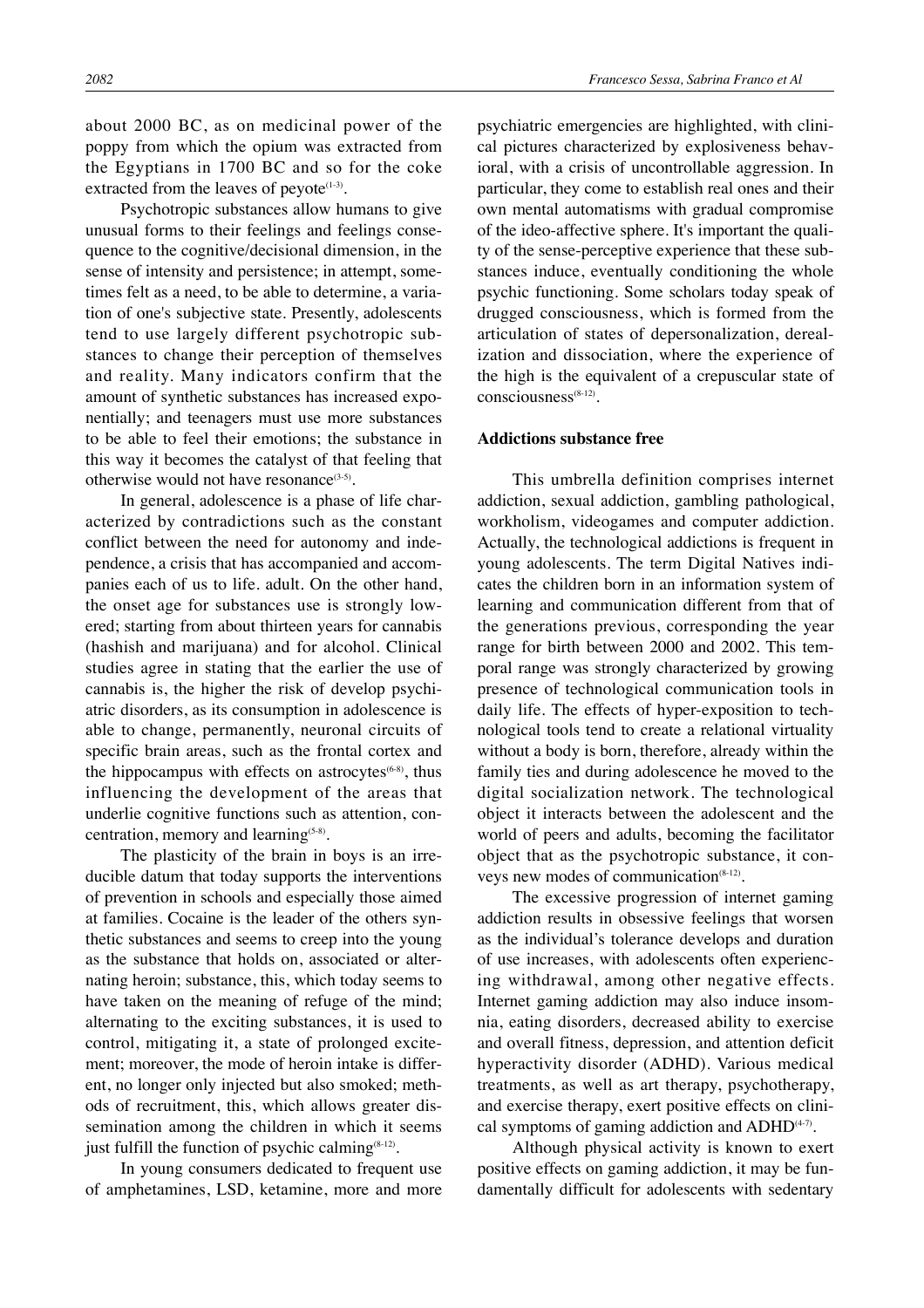about 2000 BC, as on medicinal power of the poppy from which the opium was extracted from the Egyptians in 1700 BC and so for the coke extracted from the leaves of peyote $(1-3)$ .

Psychotropic substances allow humans to give unusual forms to their feelings and feelings consequence to the cognitive/decisional dimension, in the sense of intensity and persistence; in attempt, sometimes felt as a need, to be able to determine, a variation of one's subjective state. Presently, adolescents tend to use largely different psychotropic substances to change their perception of themselves and reality. Many indicators confirm that the amount of synthetic substances has increased exponentially; and teenagers must use more substances to be able to feel their emotions; the substance in this way it becomes the catalyst of that feeling that otherwise would not have resonance<sup>(3-5)</sup>.

In general, adolescence is a phase of life characterized by contradictions such as the constant conflict between the need for autonomy and independence, a crisis that has accompanied and accompanies each of us to life. adult. On the other hand, the onset age for substances use is strongly lowered; starting from about thirteen years for cannabis (hashish and marijuana) and for alcohol. Clinical studies agree in stating that the earlier the use of cannabis is, the higher the risk of develop psychiatric disorders, as its consumption in adolescence is able to change, permanently, neuronal circuits of specific brain areas, such as the frontal cortex and the hippocampus with effects on astrocytes $(6-8)$ , thus influencing the development of the areas that underlie cognitive functions such as attention, concentration, memory and learning<sup>(5-8)</sup>.

The plasticity of the brain in boys is an irreducible datum that today supports the interventions of prevention in schools and especially those aimed at families. Cocaine is the leader of the others synthetic substances and seems to creep into the young as the substance that holds on, associated or alternating heroin; substance, this, which today seems to have taken on the meaning of refuge of the mind; alternating to the exciting substances, it is used to control, mitigating it, a state of prolonged excitement; moreover, the mode of heroin intake is different, no longer only injected but also smoked; methods of recruitment, this, which allows greater dissemination among the children in which it seems just fulfill the function of psychic calming $(8-12)$ .

In young consumers dedicated to frequent use of amphetamines, LSD, ketamine, more and more psychiatric emergencies are highlighted, with clinical pictures characterized by explosiveness behavioral, with a crisis of uncontrollable aggression. In particular, they come to establish real ones and their own mental automatisms with gradual compromise of the ideo-affective sphere. It's important the quality of the sense-perceptive experience that these substances induce, eventually conditioning the whole psychic functioning. Some scholars today speak of drugged consciousness, which is formed from the articulation of states of depersonalization, derealization and dissociation, where the experience of the high is the equivalent of a crepuscular state of consciousness<sup>(8-12)</sup>.

#### **Addictions substance free**

This umbrella definition comprises internet addiction, sexual addiction, gambling pathological, workholism, videogames and computer addiction. Actually, the technological addictions is frequent in young adolescents. The term Digital Natives indicates the children born in an information system of learning and communication different from that of the generations previous, corresponding the year range for birth between 2000 and 2002. This temporal range was strongly characterized by growing presence of technological communication tools in daily life. The effects of hyper-exposition to technological tools tend to create a relational virtuality without a body is born, therefore, already within the family ties and during adolescence he moved to the digital socialization network. The technological object it interacts between the adolescent and the world of peers and adults, becoming the facilitator object that as the psychotropic substance, it conveys new modes of communication<sup>(8-12)</sup>.

The excessive progression of internet gaming addiction results in obsessive feelings that worsen as the individual's tolerance develops and duration of use increases, with adolescents often experiencing withdrawal, among other negative effects. Internet gaming addiction may also induce insomnia, eating disorders, decreased ability to exercise and overall fitness, depression, and attention deficit hyperactivity disorder (ADHD). Various medical treatments, as well as art therapy, psychotherapy, and exercise therapy, exert positive effects on clinical symptoms of gaming addiction and  $ADHD^{(4-7)}$ .

Although physical activity is known to exert positive effects on gaming addiction, it may be fundamentally difficult for adolescents with sedentary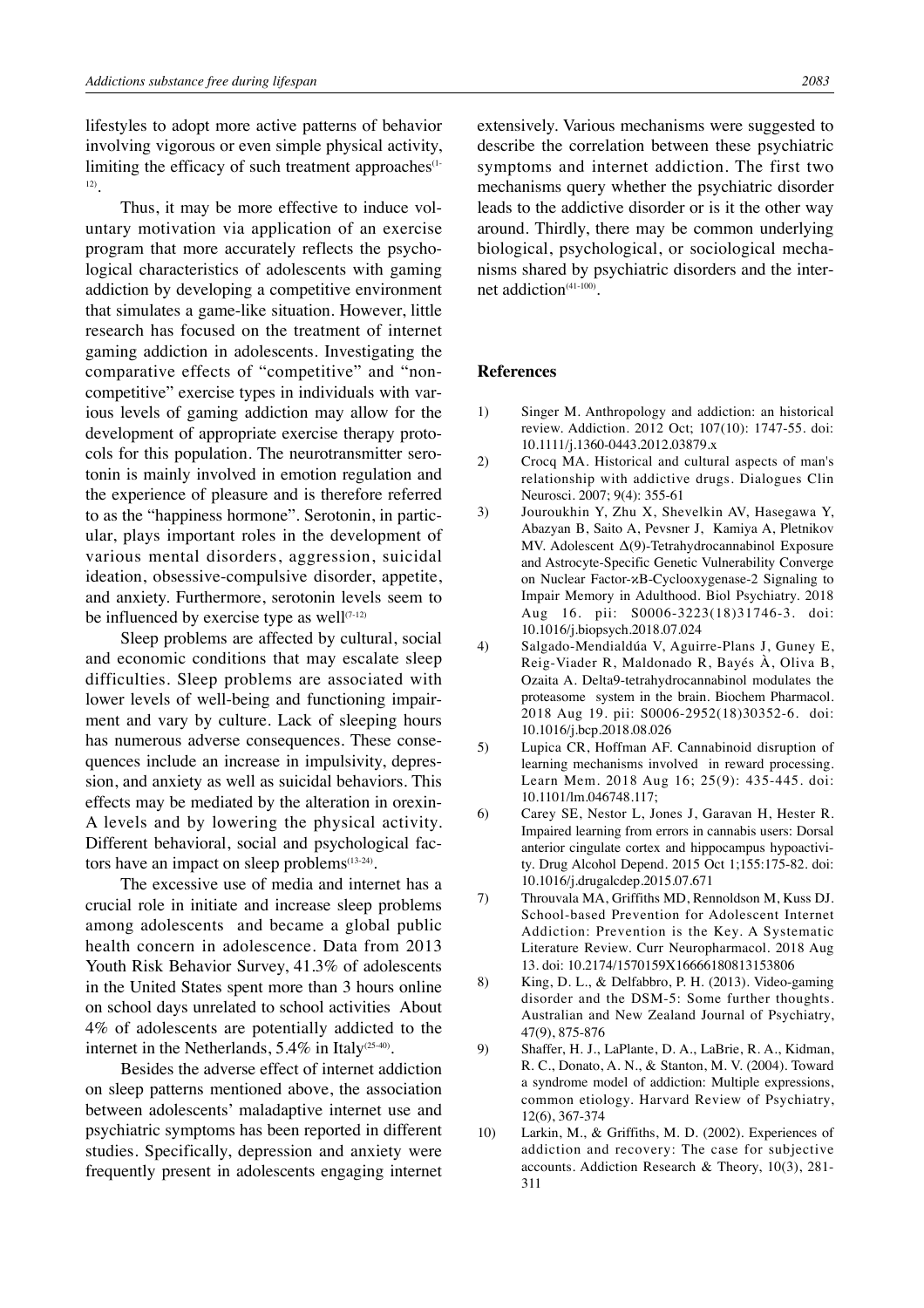lifestyles to adopt more active patterns of behavior involving vigorous or even simple physical activity, limiting the efficacy of such treatment approaches<sup>(1-1</sup>) 12).

Thus, it may be more effective to induce voluntary motivation via application of an exercise program that more accurately reflects the psychological characteristics of adolescents with gaming addiction by developing a competitive environment that simulates a game-like situation. However, little research has focused on the treatment of internet gaming addiction in adolescents. Investigating the comparative effects of "competitive" and "noncompetitive" exercise types in individuals with various levels of gaming addiction may allow for the development of appropriate exercise therapy protocols for this population. The neurotransmitter serotonin is mainly involved in emotion regulation and the experience of pleasure and is therefore referred to as the "happiness hormone". Serotonin, in particular, plays important roles in the development of various mental disorders, aggression, suicidal ideation, obsessive-compulsive disorder, appetite, and anxiety. Furthermore, serotonin levels seem to be influenced by exercise type as well $(7-12)$ 

Sleep problems are affected by cultural, social and economic conditions that may escalate sleep difficulties. Sleep problems are associated with lower levels of well-being and functioning impairment and vary by culture. Lack of sleeping hours has numerous adverse consequences. These consequences include an increase in impulsivity, depression, and anxiety as well as suicidal behaviors. This effects may be mediated by the alteration in orexin-A levels and by lowering the physical activity. Different behavioral, social and psychological factors have an impact on sleep problems<sup>(13-24)</sup>.

The excessive use of media and internet has a crucial role in initiate and increase sleep problems among adolescents and became a global public health concern in adolescence. Data from 2013 Youth Risk Behavior Survey, 41.3% of adolescents in the United States spent more than 3 hours online on school days unrelated to school activities About 4% of adolescents are potentially addicted to the internet in the Netherlands,  $5.4\%$  in Italy<sup>(25-40)</sup>.

Besides the adverse effect of internet addiction on sleep patterns mentioned above, the association between adolescents' maladaptive internet use and psychiatric symptoms has been reported in different studies. Specifically, depression and anxiety were frequently present in adolescents engaging internet extensively. Various mechanisms were suggested to describe the correlation between these psychiatric symptoms and internet addiction. The first two mechanisms query whether the psychiatric disorder leads to the addictive disorder or is it the other way around. Thirdly, there may be common underlying biological, psychological, or sociological mechanisms shared by psychiatric disorders and the internet addiction<sup>(41-100)</sup>.

#### **References**

- 1) Singer M. Anthropology and addiction: an historical review. Addiction. 2012 Oct; 107(10): 1747-55. doi: 10.1111/j.1360-0443.2012.03879.x
- 2) Crocq MA. Historical and cultural aspects of man's relationship with addictive drugs. Dialogues Clin Neurosci. 2007; 9(4): 355-61
- 3) Jouroukhin Y, Zhu X, Shevelkin AV, Hasegawa Y, Abazyan B, Saito A, Pevsner J, Kamiya A, Pletnikov MV. Adolescent Δ(9)-Tetrahydrocannabinol Exposure and Astrocyte-Specific Genetic Vulnerability Converge on Nuclear Factor-κB-Cyclooxygenase-2 Signaling to Impair Memory in Adulthood. Biol Psychiatry. 2018 Aug 16. pii: S0006-3223(18)31746-3. doi: 10.1016/j.biopsych.2018.07.024
- 4) Salgado-Mendialdúa V, Aguirre-Plans J, Guney E, Reig-Viader R, Maldonado R, Bayés À, Oliva B, Ozaita A. Delta9-tetrahydrocannabinol modulates the proteasome system in the brain. Biochem Pharmacol. 2018 Aug 19. pii: S0006-2952(18)30352-6. doi: 10.1016/j.bcp.2018.08.026
- 5) Lupica CR, Hoffman AF. Cannabinoid disruption of learning mechanisms involved in reward processing. Learn Mem. 2018 Aug 16; 25(9): 435-445. doi: 10.1101/lm.046748.117;
- 6) Carey SE, Nestor L, Jones J, Garavan H, Hester R. Impaired learning from errors in cannabis users: Dorsal anterior cingulate cortex and hippocampus hypoactivity. Drug Alcohol Depend. 2015 Oct 1;155:175-82. doi: 10.1016/j.drugalcdep.2015.07.671
- 7) Throuvala MA, Griffiths MD, Rennoldson M, Kuss DJ. School-based Prevention for Adolescent Internet Addiction: Prevention is the Key. A Systematic Literature Review. Curr Neuropharmacol. 2018 Aug 13. doi: 10.2174/1570159X16666180813153806
- 8) King, D. L., & Delfabbro, P. H. (2013). Video-gaming disorder and the DSM-5: Some further thoughts. Australian and New Zealand Journal of Psychiatry, 47(9), 875-876
- 9) Shaffer, H. J., LaPlante, D. A., LaBrie, R. A., Kidman, R. C., Donato, A. N., & Stanton, M. V. (2004). Toward a syndrome model of addiction: Multiple expressions, common etiology. Harvard Review of Psychiatry, 12(6), 367-374
- 10) Larkin, M., & Griffiths, M. D. (2002). Experiences of addiction and recovery: The case for subjective accounts. Addiction Research & Theory, 10(3), 281- 311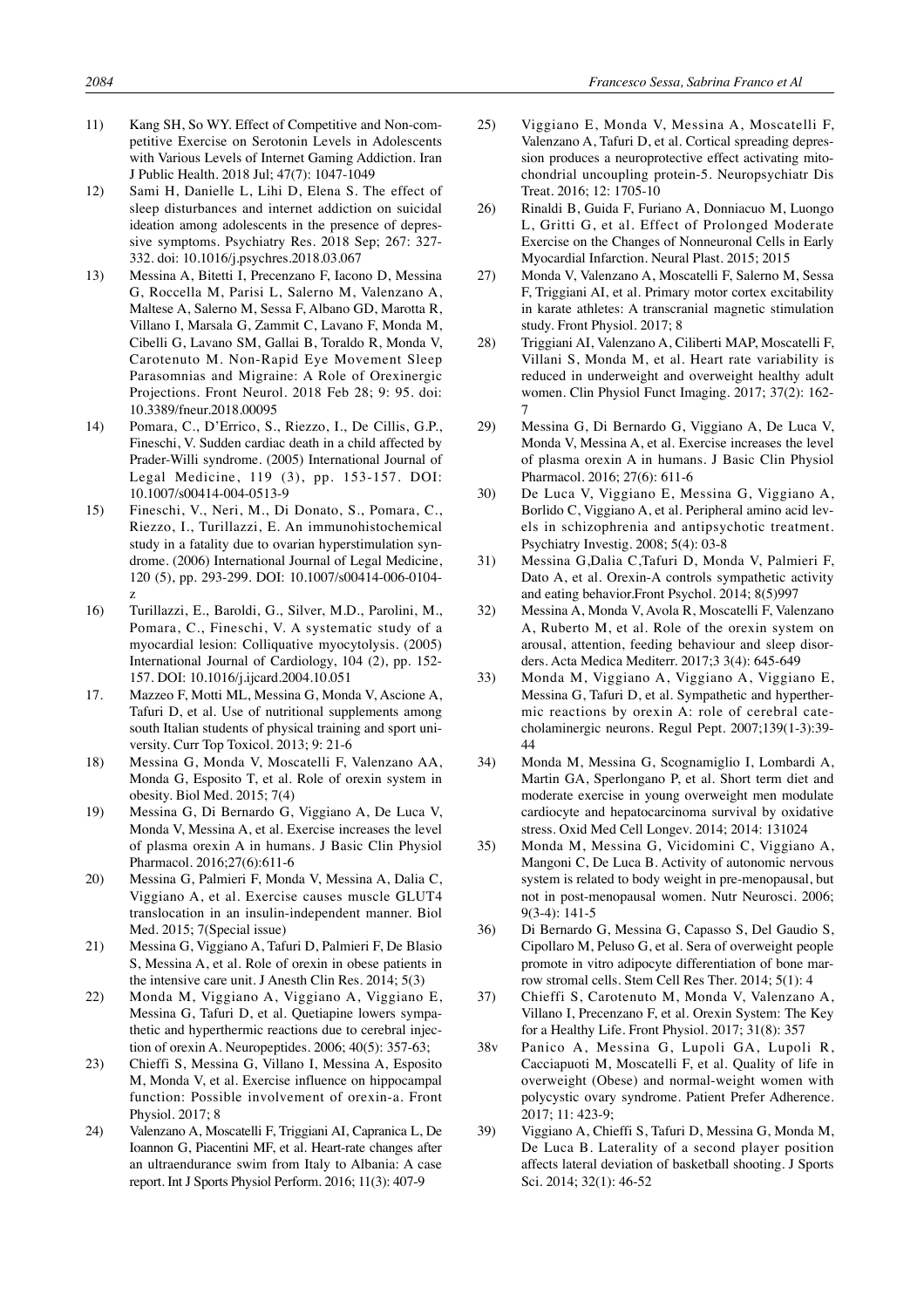- 11) Kang SH, So WY. Effect of Competitive and Non-competitive Exercise on Serotonin Levels in Adolescents with Various Levels of Internet Gaming Addiction. Iran J Public Health. 2018 Jul; 47(7): 1047-1049
- 12) Sami H, Danielle L, Lihi D, Elena S. The effect of sleep disturbances and internet addiction on suicidal ideation among adolescents in the presence of depressive symptoms. Psychiatry Res. 2018 Sep; 267: 327- 332. doi: 10.1016/j.psychres.2018.03.067
- 13) Messina A, Bitetti I, Precenzano F, Iacono D, Messina G, Roccella M, Parisi L, Salerno M, Valenzano A, Maltese A, Salerno M, Sessa F, Albano GD, Marotta R, Villano I, Marsala G, Zammit C, Lavano F, Monda M, Cibelli G, Lavano SM, Gallai B, Toraldo R, Monda V, Carotenuto M. Non-Rapid Eye Movement Sleep Parasomnias and Migraine: A Role of Orexinergic Projections. Front Neurol. 2018 Feb 28; 9: 95. doi: 10.3389/fneur.2018.00095
- 14) Pomara, C., D'Errico, S., Riezzo, I., De Cillis, G.P., Fineschi, V. Sudden cardiac death in a child affected by Prader-Willi syndrome. (2005) International Journal of Legal Medicine, 119 (3), pp. 153-157. DOI: 10.1007/s00414-004-0513-9
- 15) Fineschi, V., Neri, M., Di Donato, S., Pomara, C., Riezzo, I., Turillazzi, E. An immunohistochemical study in a fatality due to ovarian hyperstimulation syndrome. (2006) International Journal of Legal Medicine, 120 (5), pp. 293-299. DOI: 10.1007/s00414-006-0104 z
- 16) Turillazzi, E., Baroldi, G., Silver, M.D., Parolini, M., Pomara, C., Fineschi, V. A systematic study of a myocardial lesion: Colliquative myocytolysis. (2005) International Journal of Cardiology, 104 (2), pp. 152- 157. DOI: 10.1016/j.ijcard.2004.10.051
- 17. Mazzeo F, Motti ML, Messina G, Monda V, Ascione A, Tafuri D, et al. Use of nutritional supplements among south Italian students of physical training and sport university. Curr Top Toxicol. 2013; 9: 21-6
- 18) Messina G, Monda V, Moscatelli F, Valenzano AA, Monda G, Esposito T, et al. Role of orexin system in obesity. Biol Med. 2015; 7(4)
- 19) Messina G, Di Bernardo G, Viggiano A, De Luca V, Monda V, Messina A, et al. Exercise increases the level of plasma orexin A in humans. J Basic Clin Physiol Pharmacol. 2016;27(6):611-6
- 20) Messina G, Palmieri F, Monda V, Messina A, Dalia C, Viggiano A, et al. Exercise causes muscle GLUT4 translocation in an insulin-independent manner. Biol Med. 2015; 7(Special issue)
- 21) Messina G, Viggiano A, Tafuri D, Palmieri F, De Blasio S, Messina A, et al. Role of orexin in obese patients in the intensive care unit. J Anesth Clin Res. 2014; 5(3)
- 22) Monda M, Viggiano A, Viggiano A, Viggiano E, Messina G, Tafuri D, et al. Quetiapine lowers sympathetic and hyperthermic reactions due to cerebral injection of orexin A. Neuropeptides. 2006; 40(5): 357-63;
- 23) Chieffi S, Messina G, Villano I, Messina A, Esposito M, Monda V, et al. Exercise influence on hippocampal function: Possible involvement of orexin-a. Front Physiol. 2017; 8
- 24) Valenzano A, Moscatelli F, Triggiani AI, Capranica L, De Ioannon G, Piacentini MF, et al. Heart-rate changes after an ultraendurance swim from Italy to Albania: A case report. Int J Sports Physiol Perform. 2016; 11(3): 407-9
- 25) Viggiano E, Monda V, Messina A, Moscatelli F, Valenzano A, Tafuri D, et al. Cortical spreading depression produces a neuroprotective effect activating mitochondrial uncoupling protein-5. Neuropsychiatr Dis Treat. 2016; 12: 1705-10
- 26) Rinaldi B, Guida F, Furiano A, Donniacuo M, Luongo L, Gritti G, et al. Effect of Prolonged Moderate Exercise on the Changes of Nonneuronal Cells in Early Myocardial Infarction. Neural Plast. 2015; 2015
- 27) Monda V, Valenzano A, Moscatelli F, Salerno M, Sessa F, Triggiani AI, et al. Primary motor cortex excitability in karate athletes: A transcranial magnetic stimulation study. Front Physiol. 2017; 8
- 28) Triggiani AI, Valenzano A, Ciliberti MAP, Moscatelli F, Villani S, Monda M, et al. Heart rate variability is reduced in underweight and overweight healthy adult women. Clin Physiol Funct Imaging. 2017; 37(2): 162- 7
- 29) Messina G, Di Bernardo G, Viggiano A, De Luca V, Monda V, Messina A, et al. Exercise increases the level of plasma orexin A in humans. J Basic Clin Physiol Pharmacol. 2016; 27(6): 611-6
- 30) De Luca V, Viggiano E, Messina G, Viggiano A, Borlido C, Viggiano A, et al. Peripheral amino acid levels in schizophrenia and antipsychotic treatment. Psychiatry Investig. 2008; 5(4): 03-8
- 31) Messina G,Dalia C,Tafuri D, Monda V, Palmieri F, Dato A, et al. Orexin-A controls sympathetic activity and eating behavior.Front Psychol. 2014; 8(5)997
- 32) Messina A, Monda V, Avola R, Moscatelli F, Valenzano A, Ruberto M, et al. Role of the orexin system on arousal, attention, feeding behaviour and sleep disorders. Acta Medica Mediterr. 2017;3 3(4): 645-649
- 33) Monda M, Viggiano A, Viggiano A, Viggiano E, Messina G, Tafuri D, et al. Sympathetic and hyperthermic reactions by orexin A: role of cerebral catecholaminergic neurons. Regul Pept. 2007;139(1-3):39- 44
- 34) Monda M, Messina G, Scognamiglio I, Lombardi A, Martin GA, Sperlongano P, et al. Short term diet and moderate exercise in young overweight men modulate cardiocyte and hepatocarcinoma survival by oxidative stress. Oxid Med Cell Longev. 2014; 2014: 131024
- 35) Monda M, Messina G, Vicidomini C, Viggiano A, Mangoni C, De Luca B. Activity of autonomic nervous system is related to body weight in pre-menopausal, but not in post-menopausal women. Nutr Neurosci. 2006;  $9(3-4)$ : 141-5
- 36) Di Bernardo G, Messina G, Capasso S, Del Gaudio S, Cipollaro M, Peluso G, et al. Sera of overweight people promote in vitro adipocyte differentiation of bone marrow stromal cells. Stem Cell Res Ther. 2014; 5(1): 4
- 37) Chieffi S, Carotenuto M, Monda V, Valenzano A, Villano I, Precenzano F, et al. Orexin System: The Key for a Healthy Life. Front Physiol. 2017; 31(8): 357
- 38v Panico A, Messina G, Lupoli GA, Lupoli R, Cacciapuoti M, Moscatelli F, et al. Quality of life in overweight (Obese) and normal-weight women with polycystic ovary syndrome. Patient Prefer Adherence. 2017; 11: 423-9;
- 39) Viggiano A, Chieffi S, Tafuri D, Messina G, Monda M, De Luca B. Laterality of a second player position affects lateral deviation of basketball shooting. J Sports Sci. 2014; 32(1): 46-52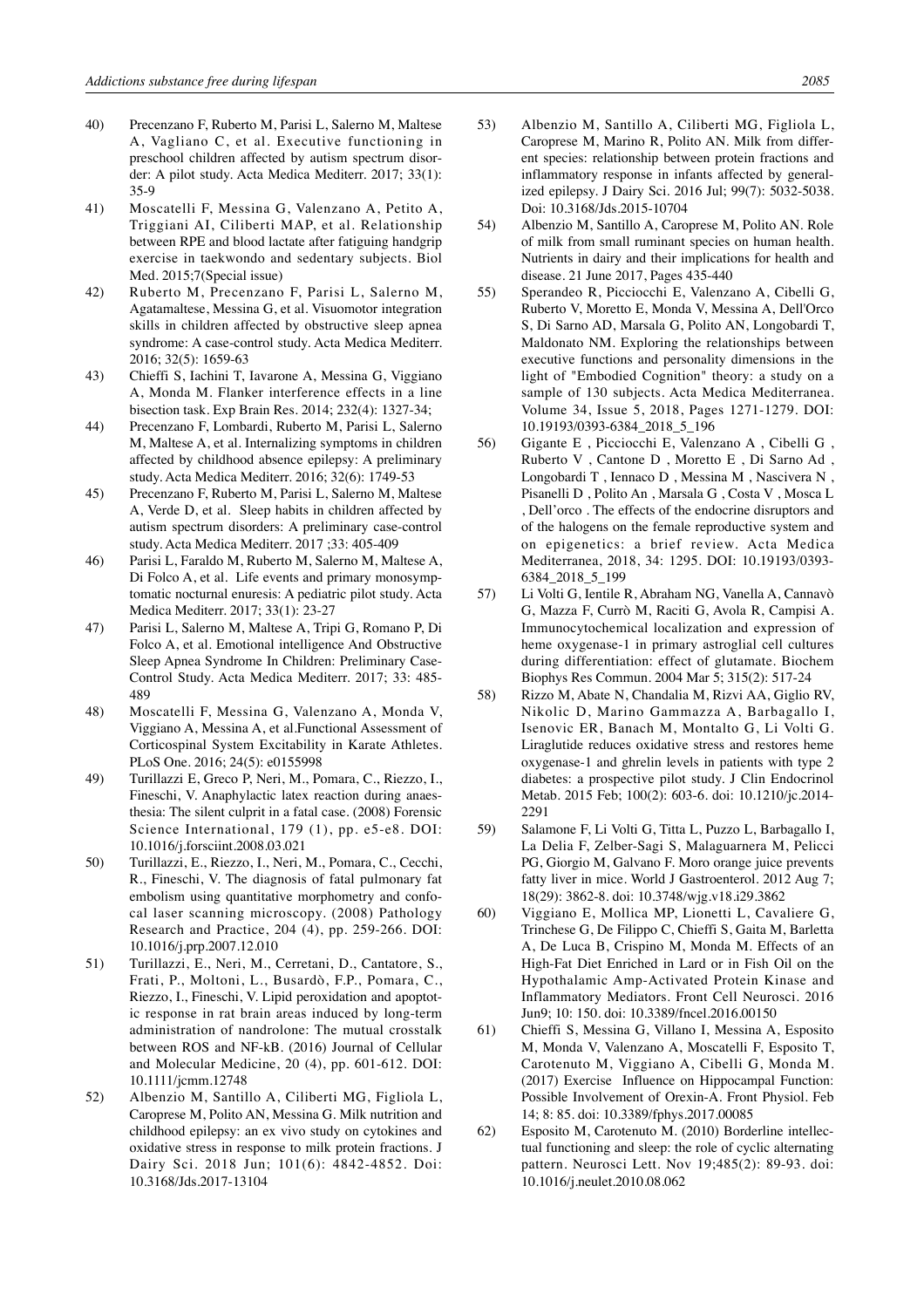- 40) Precenzano F, Ruberto M, Parisi L, Salerno M, Maltese A, Vagliano C, et al. Executive functioning in preschool children affected by autism spectrum disorder: A pilot study. Acta Medica Mediterr. 2017; 33(1): 35-9
- 41) Moscatelli F, Messina G, Valenzano A, Petito A, Triggiani AI, Ciliberti MAP, et al. Relationship between RPE and blood lactate after fatiguing handgrip exercise in taekwondo and sedentary subjects. Biol Med. 2015;7(Special issue)
- 42) Ruberto M, Precenzano F, Parisi L, Salerno M, Agatamaltese, Messina G, et al. Visuomotor integration skills in children affected by obstructive sleep apnea syndrome: A case-control study. Acta Medica Mediterr. 2016; 32(5): 1659-63
- 43) Chieffi S, Iachini T, Iavarone A, Messina G, Viggiano A, Monda M. Flanker interference effects in a line bisection task. Exp Brain Res. 2014; 232(4): 1327-34;
- 44) Precenzano F, Lombardi, Ruberto M, Parisi L, Salerno M, Maltese A, et al. Internalizing symptoms in children affected by childhood absence epilepsy: A preliminary study. Acta Medica Mediterr. 2016; 32(6): 1749-53
- 45) Precenzano F, Ruberto M, Parisi L, Salerno M, Maltese A, Verde D, et al. Sleep habits in children affected by autism spectrum disorders: A preliminary case-control study. Acta Medica Mediterr. 2017 ;33: 405-409
- 46) Parisi L, Faraldo M, Ruberto M, Salerno M, Maltese A, Di Folco A, et al. Life events and primary monosymptomatic nocturnal enuresis: A pediatric pilot study. Acta Medica Mediterr. 2017; 33(1): 23-27
- 47) Parisi L, Salerno M, Maltese A, Tripi G, Romano P, Di Folco A, et al. Emotional intelligence And Obstructive Sleep Apnea Syndrome In Children: Preliminary Case-Control Study. Acta Medica Mediterr. 2017; 33: 485- 489
- 48) Moscatelli F, Messina G, Valenzano A, Monda V, Viggiano A, Messina A, et al.Functional Assessment of Corticospinal System Excitability in Karate Athletes. PLoS One. 2016; 24(5): e0155998
- 49) Turillazzi E, Greco P, Neri, M., Pomara, C., Riezzo, I., Fineschi, V. Anaphylactic latex reaction during anaesthesia: The silent culprit in a fatal case. (2008) Forensic Science International, 179 (1), pp. e5-e8. DOI: 10.1016/j.forsciint.2008.03.021
- 50) Turillazzi, E., Riezzo, I., Neri, M., Pomara, C., Cecchi, R., Fineschi, V. The diagnosis of fatal pulmonary fat embolism using quantitative morphometry and confocal laser scanning microscopy. (2008) Pathology Research and Practice, 204 (4), pp. 259-266. DOI: 10.1016/j.prp.2007.12.010
- 51) Turillazzi, E., Neri, M., Cerretani, D., Cantatore, S., Frati, P., Moltoni, L., Busardò, F.P., Pomara, C., Riezzo, I., Fineschi, V. Lipid peroxidation and apoptotic response in rat brain areas induced by long-term administration of nandrolone: The mutual crosstalk between ROS and NF-kB. (2016) Journal of Cellular and Molecular Medicine, 20 (4), pp. 601-612. DOI: 10.1111/jcmm.12748
- 52) Albenzio M, Santillo A, Ciliberti MG, Figliola L, Caroprese M, Polito AN, Messina G. Milk nutrition and childhood epilepsy: an ex vivo study on cytokines and oxidative stress in response to milk protein fractions. J Dairy Sci. 2018 Jun; 101(6): 4842-4852. Doi: 10.3168/Jds.2017-13104
- 53) Albenzio M, Santillo A, Ciliberti MG, Figliola L, Caroprese M, Marino R, Polito AN. Milk from different species: relationship between protein fractions and inflammatory response in infants affected by generalized epilepsy. J Dairy Sci. 2016 Jul; 99(7): 5032-5038. Doi: 10.3168/Jds.2015-10704
- 54) Albenzio M, Santillo A, Caroprese M, Polito AN. Role of milk from small ruminant species on human health. Nutrients in dairy and their implications for health and disease. 21 June 2017, Pages 435-440
- 55) Sperandeo R, Picciocchi E, Valenzano A, Cibelli G, Ruberto V, Moretto E, Monda V, Messina A, Dell'Orco S, Di Sarno AD, Marsala G, Polito AN, Longobardi T, Maldonato NM. Exploring the relationships between executive functions and personality dimensions in the light of "Embodied Cognition" theory: a study on a sample of 130 subjects. Acta Medica Mediterranea. Volume 34, Issue 5, 2018, Pages 1271-1279. DOI: 10.19193/0393-6384\_2018\_5\_196
- 56) Gigante E , Picciocchi E, Valenzano A , Cibelli G , Ruberto V , Cantone D , Moretto E , Di Sarno Ad , Longobardi T , Iennaco D , Messina M , Nascivera N , Pisanelli D , Polito An , Marsala G , Costa V , Mosca L , Dell'orco . The effects of the endocrine disruptors and of the halogens on the female reproductive system and on epigenetics: a brief review. Acta Medica Mediterranea, 2018, 34: 1295. DOI: 10.19193/0393- 6384\_2018\_5\_199
- 57) Li Volti G, Ientile R, Abraham NG, Vanella A, Cannavò G, Mazza F, Currò M, Raciti G, Avola R, Campisi A. Immunocytochemical localization and expression of heme oxygenase-1 in primary astroglial cell cultures during differentiation: effect of glutamate. Biochem Biophys Res Commun. 2004 Mar 5; 315(2): 517-24
- 58) Rizzo M, Abate N, Chandalia M, Rizvi AA, Giglio RV, Nikolic D, Marino Gammazza A, Barbagallo I, Isenovic ER, Banach M, Montalto G, Li Volti G. Liraglutide reduces oxidative stress and restores heme oxygenase-1 and ghrelin levels in patients with type 2 diabetes: a prospective pilot study. J Clin Endocrinol Metab. 2015 Feb; 100(2): 603-6. doi: 10.1210/jc.2014- 2291
- 59) Salamone F, Li Volti G, Titta L, Puzzo L, Barbagallo I, La Delia F, Zelber-Sagi S, Malaguarnera M, Pelicci PG, Giorgio M, Galvano F. Moro orange juice prevents fatty liver in mice. World J Gastroenterol. 2012 Aug 7; 18(29): 3862-8. doi: 10.3748/wjg.v18.i29.3862
- 60) Viggiano E, Mollica MP, Lionetti L, Cavaliere G, Trinchese G, De Filippo C, Chieffi S, Gaita M, Barletta A, De Luca B, Crispino M, Monda M. Effects of an High-Fat Diet Enriched in Lard or in Fish Oil on the Hypothalamic Amp-Activated Protein Kinase and Inflammatory Mediators. Front Cell Neurosci. 2016 Jun9; 10: 150. doi: 10.3389/fncel.2016.00150
- 61) Chieffi S, Messina G, Villano I, Messina A, Esposito M, Monda V, Valenzano A, Moscatelli F, Esposito T, Carotenuto M, Viggiano A, Cibelli G, Monda M. (2017) Exercise Influence on Hippocampal Function: Possible Involvement of Orexin-A. Front Physiol. Feb 14; 8: 85. doi: 10.3389/fphys.2017.00085
- 62) Esposito M, Carotenuto M. (2010) Borderline intellectual functioning and sleep: the role of cyclic alternating pattern. Neurosci Lett. Nov 19;485(2): 89-93. doi: 10.1016/j.neulet.2010.08.062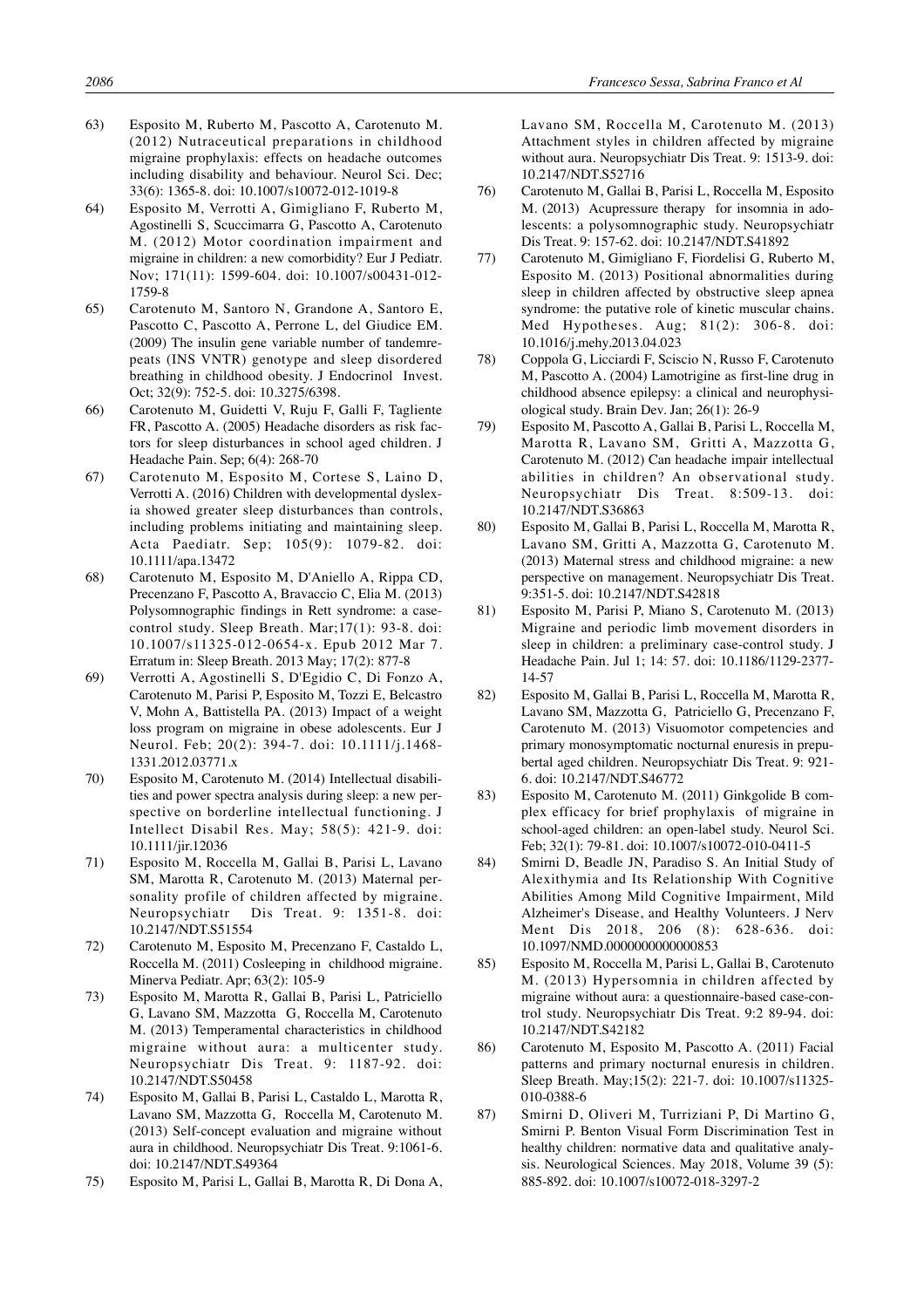- 63) Esposito M, Ruberto M, Pascotto A, Carotenuto M. (2012) Nutraceutical preparations in childhood migraine prophylaxis: effects on headache outcomes including disability and behaviour. Neurol Sci. Dec; 33(6): 1365-8. doi: 10.1007/s10072-012-1019-8
- 64) Esposito M, Verrotti A, Gimigliano F, Ruberto M, Agostinelli S, Scuccimarra G, Pascotto A, Carotenuto M. (2012) Motor coordination impairment and migraine in children: a new comorbidity? Eur J Pediatr. Nov; 171(11): 1599-604. doi: 10.1007/s00431-012- 1759-8
- 65) Carotenuto M, Santoro N, Grandone A, Santoro E, Pascotto C, Pascotto A, Perrone L, del Giudice EM. (2009) The insulin gene variable number of tandemrepeats (INS VNTR) genotype and sleep disordered breathing in childhood obesity. J Endocrinol Invest. Oct; 32(9): 752-5. doi: 10.3275/6398.
- 66) Carotenuto M, Guidetti V, Ruju F, Galli F, Tagliente FR, Pascotto A. (2005) Headache disorders as risk factors for sleep disturbances in school aged children. J Headache Pain. Sep; 6(4): 268-70
- 67) Carotenuto M, Esposito M, Cortese S, Laino D, Verrotti A. (2016) Children with developmental dyslexia showed greater sleep disturbances than controls, including problems initiating and maintaining sleep. Acta Paediatr. Sep; 105(9): 1079-82. doi: 10.1111/apa.13472
- 68) Carotenuto M, Esposito M, D'Aniello A, Rippa CD, Precenzano F, Pascotto A, Bravaccio C, Elia M. (2013) Polysomnographic findings in Rett syndrome: a casecontrol study. Sleep Breath. Mar;17(1): 93-8. doi: 10.1007/s11325-012-0654-x. Epub 2012 Mar 7. Erratum in: Sleep Breath. 2013 May; 17(2): 877-8
- 69) Verrotti A, Agostinelli S, D'Egidio C, Di Fonzo A, Carotenuto M, Parisi P, Esposito M, Tozzi E, Belcastro V, Mohn A, Battistella PA. (2013) Impact of a weight loss program on migraine in obese adolescents. Eur J Neurol. Feb; 20(2): 394-7. doi: 10.1111/j.1468- 1331.2012.03771.x
- 70) Esposito M, Carotenuto M. (2014) Intellectual disabilities and power spectra analysis during sleep: a new perspective on borderline intellectual functioning. J Intellect Disabil Res. May; 58(5): 421-9. doi: 10.1111/jir.12036
- 71) Esposito M, Roccella M, Gallai B, Parisi L, Lavano SM, Marotta R, Carotenuto M. (2013) Maternal personality profile of children affected by migraine. Neuropsychiatr Dis Treat. 9: 1351-8. doi: 10.2147/NDT.S51554
- 72) Carotenuto M, Esposito M, Precenzano F, Castaldo L, Roccella M. (2011) Cosleeping in childhood migraine. Minerva Pediatr. Apr; 63(2): 105-9
- 73) Esposito M, Marotta R, Gallai B, Parisi L, Patriciello G, Lavano SM, Mazzotta G, Roccella M, Carotenuto M. (2013) Temperamental characteristics in childhood migraine without aura: a multicenter study. Neuropsychiatr Dis Treat. 9: 1187-92. doi: 10.2147/NDT.S50458
- 74) Esposito M, Gallai B, Parisi L, Castaldo L, Marotta R, Lavano SM, Mazzotta G, Roccella M, Carotenuto M. (2013) Self-concept evaluation and migraine without aura in childhood. Neuropsychiatr Dis Treat. 9:1061-6. doi: 10.2147/NDT.S49364
- 75) Esposito M, Parisi L, Gallai B, Marotta R, Di Dona A,

Lavano SM, Roccella M, Carotenuto M. (2013) Attachment styles in children affected by migraine without aura. Neuropsychiatr Dis Treat. 9: 1513-9. doi: 10.2147/NDT.S52716

- 76) Carotenuto M, Gallai B, Parisi L, Roccella M, Esposito M. (2013) Acupressure therapy for insomnia in adolescents: a polysomnographic study. Neuropsychiatr Dis Treat. 9: 157-62. doi: 10.2147/NDT.S41892
- 77) Carotenuto M, Gimigliano F, Fiordelisi G, Ruberto M, Esposito M. (2013) Positional abnormalities during sleep in children affected by obstructive sleep apnea syndrome: the putative role of kinetic muscular chains. Med Hypotheses. Aug; 81(2): 306-8. doi: 10.1016/j.mehy.2013.04.023
- 78) Coppola G, Licciardi F, Sciscio N, Russo F, Carotenuto M, Pascotto A. (2004) Lamotrigine as first-line drug in childhood absence epilepsy: a clinical and neurophysiological study. Brain Dev. Jan; 26(1): 26-9
- 79) Esposito M, Pascotto A, Gallai B, Parisi L, Roccella M, Marotta R, Lavano SM, Gritti A, Mazzotta G, Carotenuto M. (2012) Can headache impair intellectual abilities in children? An observational study. Neuropsychiatr Dis Treat. 8:509-13. doi: 10.2147/NDT.S36863
- 80) Esposito M, Gallai B, Parisi L, Roccella M, Marotta R, Lavano SM, Gritti A, Mazzotta G, Carotenuto M. (2013) Maternal stress and childhood migraine: a new perspective on management. Neuropsychiatr Dis Treat. 9:351-5. doi: 10.2147/NDT.S42818
- 81) Esposito M, Parisi P, Miano S, Carotenuto M. (2013) Migraine and periodic limb movement disorders in sleep in children: a preliminary case-control study. J Headache Pain. Jul 1; 14: 57. doi: 10.1186/1129-2377- 14-57
- 82) Esposito M, Gallai B, Parisi L, Roccella M, Marotta R, Lavano SM, Mazzotta G, Patriciello G, Precenzano F, Carotenuto M. (2013) Visuomotor competencies and primary monosymptomatic nocturnal enuresis in prepubertal aged children. Neuropsychiatr Dis Treat. 9: 921- 6. doi: 10.2147/NDT.S46772
- 83) Esposito M, Carotenuto M. (2011) Ginkgolide B complex efficacy for brief prophylaxis of migraine in school-aged children: an open-label study. Neurol Sci. Feb; 32(1): 79-81. doi: 10.1007/s10072-010-0411-5
- 84) Smirni D, Beadle JN, Paradiso S. An Initial Study of Alexithymia and Its Relationship With Cognitive Abilities Among Mild Cognitive Impairment, Mild Alzheimer's Disease, and Healthy Volunteers. J Nerv Ment Dis 2018, 206 (8): 628-636. doi: 10.1097/NMD.0000000000000853
- 85) Esposito M, Roccella M, Parisi L, Gallai B, Carotenuto M. (2013) Hypersomnia in children affected by migraine without aura: a questionnaire-based case-control study. Neuropsychiatr Dis Treat. 9:2 89-94. doi: 10.2147/NDT.S42182
- 86) Carotenuto M, Esposito M, Pascotto A. (2011) Facial patterns and primary nocturnal enuresis in children. Sleep Breath. May;15(2): 221-7. doi: 10.1007/s11325- 010-0388-6
- 87) Smirni D, Oliveri M, Turriziani P, Di Martino G, Smirni P. Benton Visual Form Discrimination Test in healthy children: normative data and qualitative analysis. Neurological Sciences. May 2018, Volume 39 (5): 885-892. doi: 10.1007/s10072-018-3297-2